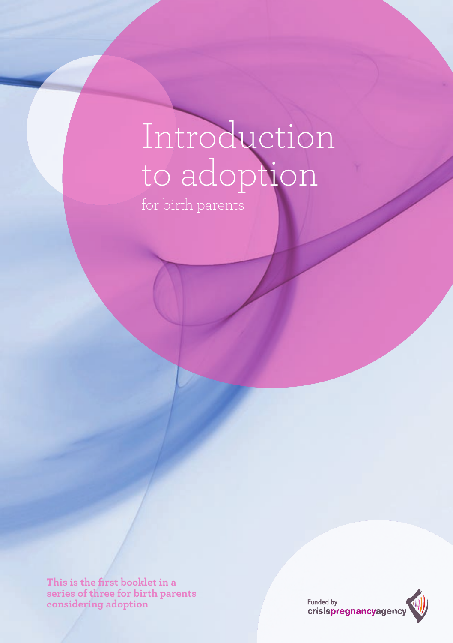# Introduction to adoption

This is the first booklet in a **series of three for birth parents considering adoption**

Funded by<br> **crisispregnancyagency**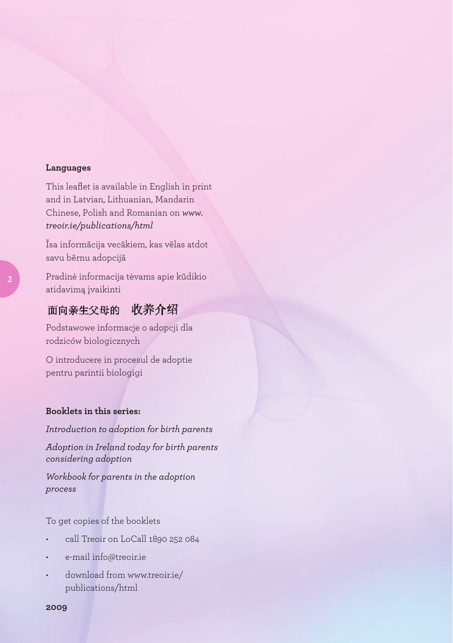#### **Languages**

This leaflet is available in English in print and in Latvian, Lithuanian, Mandarin Chinese, Polish and Romanian on *www. treoir.ie/publications/html* 

Īsa informācija vecākiem, kas vēlas atdot savu bērnu adopcijā

Pradinė informacija tėvams apie kūdikio atidavimą įvaikinti

#### 收养介绍 面向亲生父母的

Podstawowe informacje o adopcji dla rodziców biologicznych

O introducere in procesul de adoptie pentru parintii biologigi

#### **Booklets in this series:**

*Introduction to adoption for birth parents*

*Adoption in Ireland today for birth parents considering adoption*

*Workbook for parents in the adoption process*

To get copies of the booklets

- call Treoir on LoCall 1890 252 084
- e-mail info@treoir.ie
- download from www.treoir.ie/ publications/html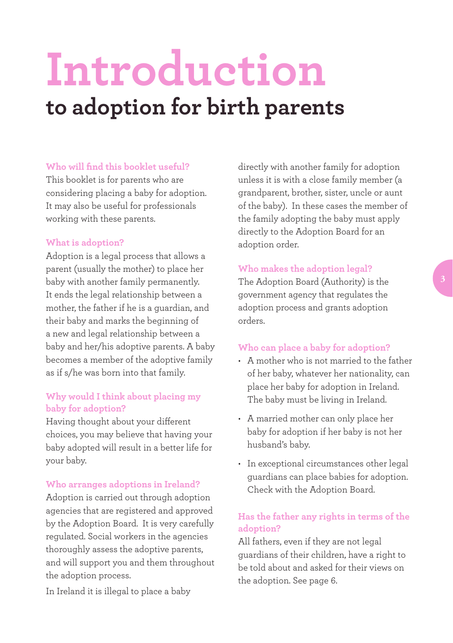# **Introduction to adoption for birth parents**

#### **Who will find this booklet useful?**

This booklet is for parents who are considering placing a baby for adoption. It may also be useful for professionals working with these parents.

#### **What is adoption?**

Adoption is a legal process that allows a parent (usually the mother) to place her baby with another family permanently. It ends the legal relationship between a mother, the father if he is a guardian, and their baby and marks the beginning of a new and legal relationship between a baby and her/his adoptive parents. A baby becomes a member of the adoptive family as if s/he was born into that family.

#### **Why would I think about placing my baby for adoption?**

Having thought about your different choices, you may believe that having your baby adopted will result in a better life for your baby.

#### **Who arranges adoptions in Ireland?**

Adoption is carried out through adoption agencies that are registered and approved by the Adoption Board.It is very carefully regulated. Social workers in the agencies thoroughly assess the adoptive parents, and will support you and them throughout the adoption process.

In Ireland it is illegal to place a baby

directly with another family for adoption unless it is with a close family member (a grandparent, brother, sister, uncle or aunt of the baby). In these cases the member of the family adopting the baby must apply directly to the Adoption Board for an adoption order.

#### **Who makes the adoption legal?**

The Adoption Board (Authority) is the government agency that regulates the adoption process and grants adoption orders.

### **Who can place a baby for adoption?**

- • A mother who is not married to the father of her baby, whatever her nationality, can place her baby for adoption in Ireland. The baby must be living in Ireland.
- • A married mother can only place her baby for adoption if her baby is not her husband's baby.
- In exceptional circumstances other legal guardians can place babies for adoption. Check with the Adoption Board.

## **Has the father any rights in terms of the adoption?**

All fathers, even if they are not legal guardians of their children, have a right to be told about and asked for their views on the adoption. See page 6.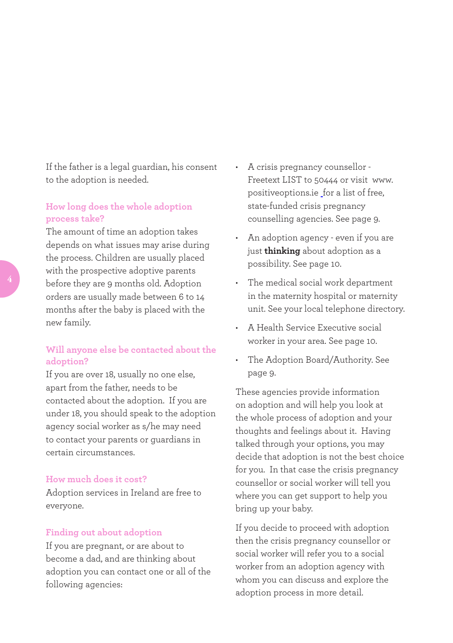If the father is a legal guardian, his consent to the adoption is needed.

#### **How long does the whole adoption process take?**

The amount of time an adoption takes depends on what issues may arise during the process. Children are usually placed with the prospective adoptive parents before they are 9 months old. Adoption orders are usually made between 6 to 14 months after the baby is placed with the new family.

## **Will anyone else be contacted about the adoption?**

If you are over 18, usually no one else, apart from the father, needs to be contacted about the adoption. If you are under 18, you should speak to the adoption agency social worker as s/he may need to contact your parents or guardians in certain circumstances.

#### **How much does it cost?**

Adoption services in Ireland are free to everyone.

#### **Finding out about adoption**

If you are pregnant, or are about to become a dad, and are thinking about adoption you can contact one or all of the following agencies:

- A crisis pregnancy counsellor -Freetext LIST to 50444 or visit www. positiveoptions.ie for a list of free, state-funded crisis pregnancy counselling agencies. See page 9.
- • An adoption agency even if you are just **thinking** about adoption as a possibility. See page 10.
- • The medical social work department in the maternity hospital or maternity unit. See your local telephone directory.
- • A Health Service Executive social worker in your area. See page 10.
- • The Adoption Board/Authority. See page 9.

These agencies provide information on adoption and will help you look at the whole process of adoption and your thoughts and feelings about it. Having talked through your options, you may decide that adoption is not the best choice for you. In that case the crisis pregnancy counsellor or social worker will tell you where you can get support to help you bring up your baby.

If you decide to proceed with adoption then the crisis pregnancy counsellor or social worker will refer you to a social worker from an adoption agency with whom you can discuss and explore the adoption process in more detail.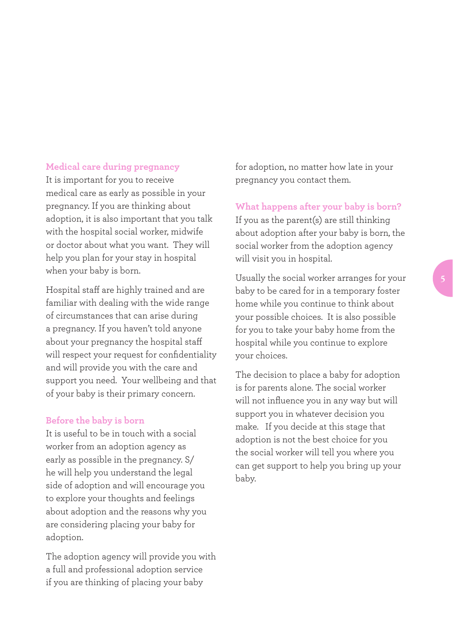#### **Medical care during pregnancy**

It is important for you to receive medical care as early as possible in your pregnancy. If you are thinking about adoption, it is also important that you talk with the hospital social worker, midwife or doctor about what you want. They will help you plan for your stay in hospital when your baby is born.

Hospital staff are highly trained and are familiar with dealing with the wide range of circumstances that can arise during a pregnancy. If you haven't told anyone about your pregnancy the hospital staff will respect your request for confidentiality and will provide you with the care and support you need. Your wellbeing and that of your baby is their primary concern.

#### **Before the baby is born**

It is useful to be in touch with a social worker from an adoption agency as early as possible in the pregnancy. S/ he will help you understand the legal side of adoption and will encourage you to explore your thoughts and feelings about adoption and the reasons why you are considering placing your baby for adoption.

The adoption agency will provide you with a full and professional adoption service if you are thinking of placing your baby

for adoption, no matter how late in your pregnancy you contact them.

#### **What happens after your baby is born?**

If you as the parent(s) are still thinking about adoption after your baby is born, the social worker from the adoption agency will visit you in hospital.

Usually the social worker arranges for your baby to be cared for in a temporary foster home while you continue to think about your possible choices. It is also possible for you to take your baby home from the hospital while you continue to explore your choices.

The decision to place a baby for adoption is for parents alone. The social worker will not influence you in any way but will support you in whatever decision you make. If you decide at this stage that adoption is not the best choice for you the social worker will tell you where you can get support to help you bring up your baby.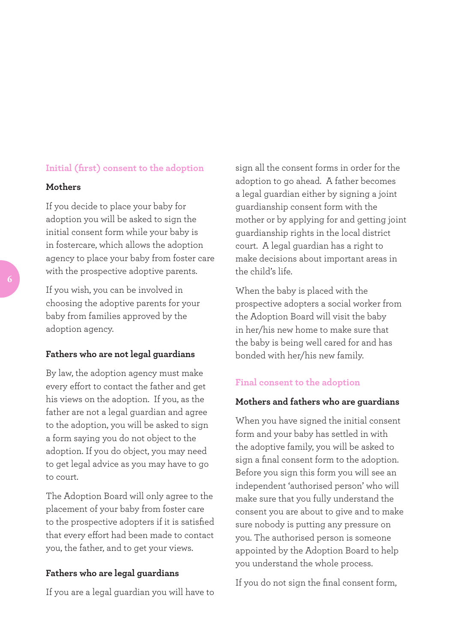#### **Initial (first) consent to the adoption**

#### **Mothers**

If you decide to place your baby for adoption you will be asked to sign the initial consent form while your baby is in fostercare, which allows the adoption agency to place your baby from foster care with the prospective adoptive parents.

If you wish, you can be involved in choosing the adoptive parents for your baby from families approved by the adoption agency.

#### **Fathers who are not legal guardians**

By law, the adoption agency must make every effort to contact the father and get his views on the adoption. If you, as the father are not a legal guardian and agree to the adoption, you will be asked to sign a form saying you do not object to the adoption. If you do object, you may need to get legal advice as you may have to go to court.

The Adoption Board will only agree to the placement of your baby from foster care to the prospective adopters if it is satisfied that every effort had been made to contact you, the father, and to get your views.

#### **Fathers who are legal guardians**

If you are a legal guardian you will have to

sign all the consent forms in order for the adoption to go ahead. A father becomes a legal guardian either by signing a joint guardianship consent form with the mother or by applying for and getting joint guardianship rights in the local district court. A legal guardian has a right to make decisions about important areas in the child's life.

When the baby is placed with the prospective adopters a social worker from the Adoption Board will visit the baby in her/his new home to make sure that the baby is being well cared for and has bonded with her/his new family.

#### **Final consent to the adoption**

#### **Mothers and fathers who are guardians**

When you have signed the initial consent form and your baby has settled in with the adoptive family, you will be asked to sign a final consent form to the adoption. Before you sign this form you will see an independent 'authorised person' who will make sure that you fully understand the consent you are about to give and to make sure nobody is putting any pressure on you. The authorised person is someone appointed by the Adoption Board to help you understand the whole process.

If you do not sign the final consent form,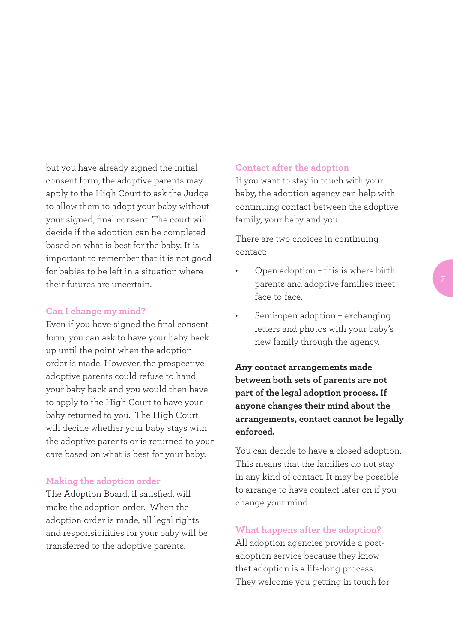but you have already signed the initial consent form, the adoptive parents may apply to the High Court to ask the Judge to allow them to adopt your baby without your signed, final consent. The court will decide if the adoption can be completed based on what is best for the baby. It is important to remember that it is not good for babies to be left in a situation where their futures are uncertain.

#### **Can I change my mind?**

Even if you have signed the final consent form, you can ask to have your baby back up until the point when the adoption order is made. However, the prospective adoptive parents could refuse to hand your baby back and you would then have to apply to the High Court to have your baby returned to you. The High Court will decide whether your baby stays with the adoptive parents or is returned to your care based on what is best for your baby.

#### **Making the adoption order**

The Adoption Board, if satisfied, will make the adoption order. When the adoption order is made, all legal rights and responsibilities for your baby will be transferred to the adoptive parents.

#### **Contact after the adoption**

If you want to stay in touch with your baby, the adoption agency can help with continuing contact between the adoptive family, your baby and you.

There are two choices in continuing contact:

- Open adoption this is where birth parents and adoptive families meet face-to-face.
- Semi-open adoption exchanging letters and photos with your baby's new family through the agency.

**Any contact arrangements made between both sets of parents are not part of the legal adoption process. If anyone changes their mind about the arrangements, contact cannot be legally enforced.** 

You can decide to have a closed adoption. This means that the families do not stay in any kind of contact. It may be possible to arrange to have contact later on if you change your mind.

#### **What happens after the adoption?**

All adoption agencies provide a postadoption service because they know that adoption is a life-long process. They welcome you getting in touch for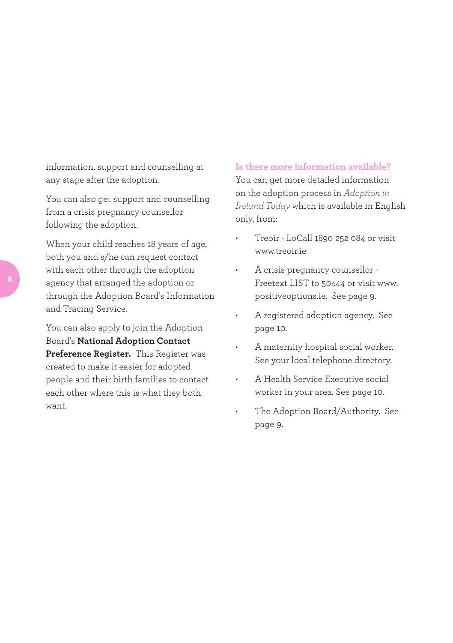information, support and counselling at any stage after the adoption.

You can also get support and counselling from a crisis pregnancy counsellor following the adoption.

When your child reaches 18 years of age, both you and s/he can request contact with each other through the adoption agency that arranged the adoption or through the Adoption Board's Information and Tracing Service.

You can also apply to join the Adoption Board's **National Adoption Contact Preference Register.** This Register was created to make it easier for adopted people and their birth families to contact each other where this is what they both want.

#### **Is there more information available?**

You can get more detailed information on the adoption process in *Adoption in Ireland Today* which is available in English only, from:

- Treoir LoCall 1890 252 084 or visit www.treoir.ie
- A crisis pregnancy counsellor -Freetext LIST to 50444 or visit www. positiveoptions.ie. See page 9.
- A registered adoption agency. See page 10.
- A maternity hospital social worker. See your local telephone directory.
- A Health Service Executive social worker in your area. See page 10.
- The Adoption Board/Authority. See page 9.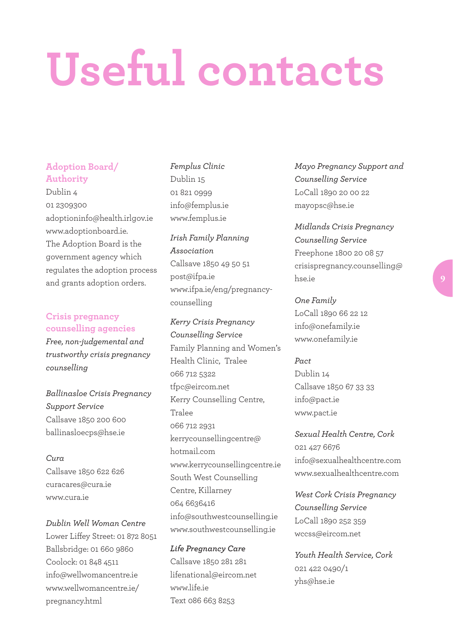# **Useful contacts**

#### **Adoption Board/ Authority**

Dublin 4 01 2309300 adoptioninfo@health.irlgov.ie www.adoptionboard.ie. The Adoption Board is the government agency which regulates the adoption process and grants adoption orders.

#### **Crisis pregnancy counselling agencies**

*Free, non-judgemental and trustworthy crisis pregnancy counselling* 

# *Ballinasloe Crisis Pregnancy Support Service* Callsave 1850 200 600 ballinasloecps@hse.ie

*Cura* Callsave 1850 622 626 curacares@cura.ie www.cura.ie

# *Dublin Well Woman Centre* Lower Liffey Street: 01 872 8051 Ballsbridge: 01 660 9860 Coolock: 01 848 4511 info@wellwomancentre.ie www.wellwomancentre.ie/ pregnancy.html

*Femplus Clinic* Dublin 15 01 821 0999 info@femplus.ie www.femplus.ie

*Irish Family Planning Association* Callsave 1850 49 50 51 post@ifpa.ie www.ifpa.ie/eng/pregnancycounselling

*Kerry Crisis Pregnancy Counselling Service* Family Planning and Women's Health Clinic, Tralee 066 712 5322 tfpc@eircom.net Kerry Counselling Centre, Tralee 066 712 2931 kerrycounsellingcentre@ hotmail.com www.kerrycounsellingcentre.ie South West Counselling Centre, Killarney 064 6636416 info@southwestcounselling.ie www.southwestcounselling.ie

*Life Pregnancy Care* Callsave 1850 281 281 lifenational@eircom.net www.life.ie Text 086 663 8253

*Mayo Pregnancy Support and Counselling Service* LoCall 1890 20 00 22 mayopsc@hse.ie

*Midlands Crisis Pregnancy Counselling Service* Freephone 1800 20 08 57 crisispregnancy.counselling@ hse.ie

*One Family* LoCall 1890 66 22 12 info@onefamily.ie www.onefamily.ie

#### *Pact*

Dublin 14 Callsave 1850 67 33 33 info@pact.ie www.pact.ie

*Sexual Health Centre, Cork* 021 427 6676 info@sexualhealthcentre.com www.sexualhealthcentre.com

*West Cork Crisis Pregnancy Counselling Service* LoCall 1890 252 359 wccss@eircom.net

*Youth Health Service, Cork* 021 422 0490/1 yhs@hse.ie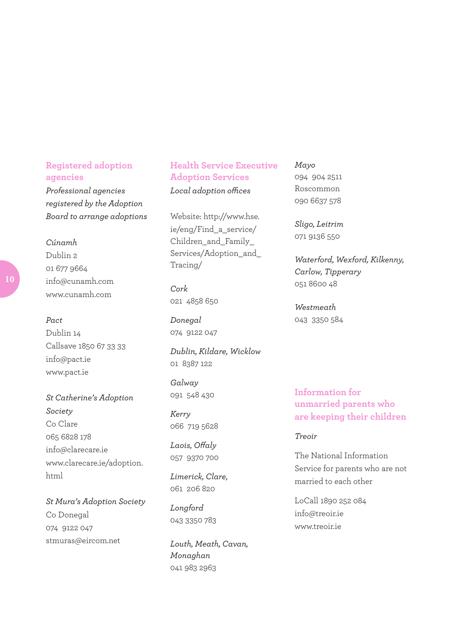# **Registered adoption agencies**

*Professional agencies registered by the Adoption Board to arrange adoptions*

*Cúnamh* Dublin 2 01 677 9664 info@cunamh.com www.cunamh.com

#### *Pact*

Dublin 14 Callsave 1850 67 33 33 info@pact.ie www.pact.ie

*St Catherine's Adoption Society* Co Clare 065 6828 178 info@clarecare.ie www.clarecare.ie/adoption. html

*St Mura's Adoption Society* Co Donegal 074 9122 047 stmuras@eircom.net

**Health Service Executive Adoption Services** *Local adoption offices*

Website: http://www.hse. ie/eng/Find\_a\_service/ Children\_and\_Family\_ Services/Adoption\_and Tracing/

*Cork* 021 4858 650

*Donegal* 074 9122 047

*Dublin, Kildare, Wicklow* 01 8387 122

*Galway* 091 548 430

*Kerry* 066 719 5628

*Laois, Offaly* 057 9370 700

*Limerick, Clare,*  061 206 820

*Longford* 043 3350 783

*Louth, Meath, Cavan, Monaghan* 041 983 2963

*Mayo*

094 904 2511 Roscommon 090 6637 578

*Sligo, Leitrim* 071 9136 550

*Waterford, Wexford, Kilkenny, Carlow, Tipperary* 051 8600 48

*Westmeath* 043 3350 584

**Information for unmarried parents who are keeping their children** 

#### *Treoir*

The National Information Service for parents who are not married to each other

LoCall 1890 252 084 info@treoir.ie www.treoir.ie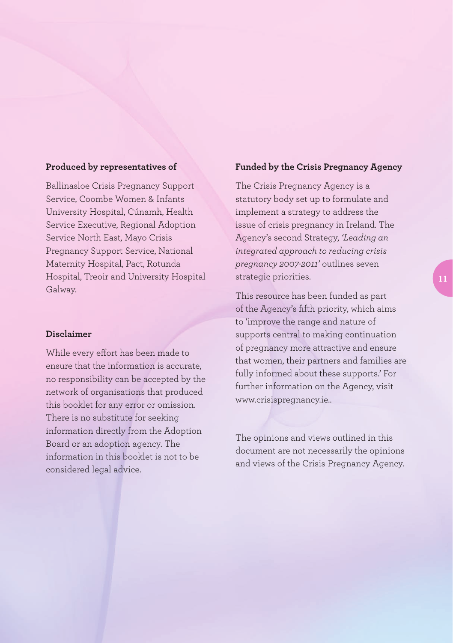#### **Produced by representatives of**

Ballinasloe Crisis Pregnancy Support Service, Coombe Women & Infants University Hospital, Cúnamh, Health Service Executive, Regional Adoption Service North East, Mayo Crisis Pregnancy Support Service, National Maternity Hospital, Pact, Rotunda Hospital, Treoir and University Hospital Galway.

#### **Disclaimer**

While every effort has been made to ensure that the information is accurate, no responsibility can be accepted by the network of organisations that produced this booklet for any error or omission. There is no substitute for seeking information directly from the Adoption Board or an adoption agency. The information in this booklet is not to be considered legal advice.

#### **Funded by the Crisis Pregnancy Agency**

The Crisis Pregnancy Agency is a statutory body set up to formulate and implement a strategy to address the issue of crisis pregnancy in Ireland. The Agency's second Strategy, *'Leading an integrated approach to reducing crisis pregnancy 2007-2011'* outlines seven strategic priorities.

This resource has been funded as part of the Agency's fifth priority, which aims to 'improve the range and nature of supports central to making continuation of pregnancy more attractive and ensure that women, their partners and families are fully informed about these supports.' For further information on the Agency, visit www.crisispregnancy.ie..

The opinions and views outlined in this document are not necessarily the opinions and views of the Crisis Pregnancy Agency.